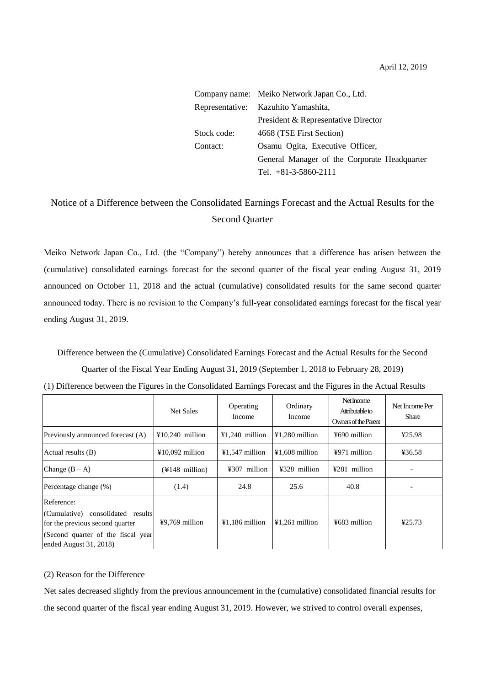|             | Company name: Meiko Network Japan Co., Ltd.  |
|-------------|----------------------------------------------|
|             | Representative: Kazuhito Yamashita,          |
|             | President & Representative Director          |
| Stock code: | 4668 (TSE First Section)                     |
| Contact:    | Osamu Ogita, Executive Officer,              |
|             | General Manager of the Corporate Headquarter |
|             | Tel. $+81-3-5860-2111$                       |

## Notice of a Difference between the Consolidated Earnings Forecast and the Actual Results for the Second Quarter

Meiko Network Japan Co., Ltd. (the "Company") hereby announces that a difference has arisen between the (cumulative) consolidated earnings forecast for the second quarter of the fiscal year ending August 31, 2019 announced on October 11, 2018 and the actual (cumulative) consolidated results for the same second quarter announced today. There is no revision to the Company's full-year consolidated earnings forecast for the fiscal year ending August 31, 2019.

Difference between the (Cumulative) Consolidated Earnings Forecast and the Actual Results for the Second Quarter of the Fiscal Year Ending August 31, 2019 (September 1, 2018 to February 28, 2019)

|                                                                                                                                                         | Net Sales                                | Operating<br>Income | Ordinary<br>Income | Net Income<br>Attributable to<br>Owners of the Parent | Net Income Per<br>Share |
|---------------------------------------------------------------------------------------------------------------------------------------------------------|------------------------------------------|---------------------|--------------------|-------------------------------------------------------|-------------------------|
| Previously announced forecast (A)                                                                                                                       | $\text{\textsterling}10,240$ million     | $¥1,240$ million    | $¥1,280$ million   | ¥690 million                                          | 425.98                  |
| Actual results (B)                                                                                                                                      | $¥10,092$ million                        | $¥1,547$ million    | $¥1,608$ million   | ¥971 million                                          | ¥36.58                  |
| Change $(B - A)$                                                                                                                                        | $(\text{\texttt{Y}}148 \text{ million})$ | ¥307 million        | ¥328 million       | $4281$ million                                        |                         |
| Percentage change (%)                                                                                                                                   | (1.4)                                    | 24.8                | 25.6               | 40.8                                                  |                         |
| Reference:<br>(Cumulative)<br>consolidated results<br>for the previous second quarter<br>(Second quarter of the fiscal year)<br>ended August $31, 2018$ | $49,769$ million                         | $¥1,186$ million    | $¥1,261$ million   | ¥683 million                                          | ¥25.73                  |

| (1) Difference between the Figures in the Consolidated Earnings Forecast and the Figures in the Actual Results |  |
|----------------------------------------------------------------------------------------------------------------|--|
|----------------------------------------------------------------------------------------------------------------|--|

## (2) Reason for the Difference

Net sales decreased slightly from the previous announcement in the (cumulative) consolidated financial results for the second quarter of the fiscal year ending August 31, 2019. However, we strived to control overall expenses,